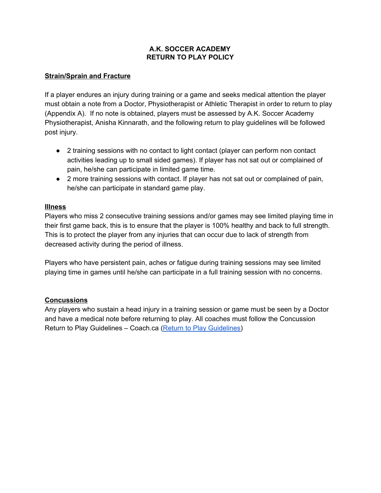### **A.K. SOCCER ACADEMY RETURN TO PLAY POLICY**

# **Strain/Sprain and Fracture**

If a player endures an injury during training or a game and seeks medical attention the player must obtain a note from a Doctor, Physiotherapist or Athletic Therapist in order to return to play (Appendix A). If no note is obtained, players must be assessed by A.K. Soccer Academy Physiotherapist, Anisha Kinnarath, and the following return to play guidelines will be followed post injury.

- 2 training sessions with no contact to light contact (player can perform non contact activities leading up to small sided games). If player has not sat out or complained of pain, he/she can participate in limited game time.
- 2 more training sessions with contact. If player has not sat out or complained of pain, he/she can participate in standard game play.

# **Illness**

Players who miss 2 consecutive training sessions and/or games may see limited playing time in their first game back, this is to ensure that the player is 100% healthy and back to full strength. This is to protect the player from any injuries that can occur due to lack of strength from decreased activity during the period of illness.

Players who have persistent pain, aches or fatigue during training sessions may see limited playing time in games until he/she can participate in a full training session with no concerns.

# **Concussions**

Any players who sustain a head injury in a training session or game must be seen by a Doctor and have a medical note before returning to play. All coaches must follow the Concussion Return to Play Guidelines - Coach.ca (Return to Play [Guidelines\)](https://www.coach.ca/files/returntoplayguidelines.pdf)